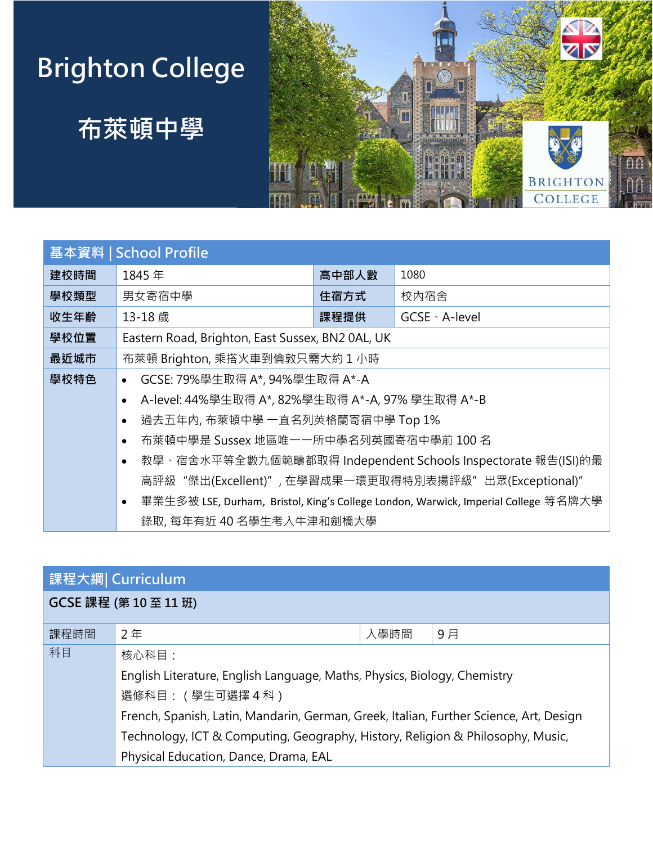## **Brighton College**

**布萊頓中學**



| 基本資料   School Profile |                                                                                                  |       |                       |  |  |
|-----------------------|--------------------------------------------------------------------------------------------------|-------|-----------------------|--|--|
| 建校時間                  | 1845年                                                                                            | 高中部人數 | 1080                  |  |  |
| 學校類型                  | 男女寄宿中學                                                                                           | 住宿方式  | 校內宿舍                  |  |  |
| 收生年齡                  | 13-18 歳                                                                                          | 課程提供  | $GCSE \cdot A$ -level |  |  |
| 學校位置                  | Eastern Road, Brighton, East Sussex, BN2 0AL, UK                                                 |       |                       |  |  |
| 最近城市                  | 布萊頓 Brighton, 乘搭火車到倫敦只需大約1小時                                                                     |       |                       |  |  |
| 學校特色                  | GCSE: 79%學生取得 A*, 94%學生取得 A*-A<br>$\bullet$                                                      |       |                       |  |  |
|                       | A-level: 44%學生取得 A*, 82%學生取得 A*-A, 97% 學生取得 A*-B<br>$\bullet$                                    |       |                       |  |  |
|                       | 過去五年內, 布萊頓中學 一直名列英格蘭寄宿中學 Top 1%                                                                  |       |                       |  |  |
|                       | 布萊頓中學是 Sussex 地區唯一一所中學名列英國寄宿中學前 100 名<br>$\bullet$                                               |       |                       |  |  |
|                       | 教學、宿舍水平等全數九個範疇都取得 Independent Schools Inspectorate 報告(ISI)的最<br>$\bullet$                        |       |                       |  |  |
|                       | 高評級"傑出(Excellent)", 在學習成果一環更取得特別表揚評級"出眾(Exceptional)"                                            |       |                       |  |  |
|                       | 畢業生多被 LSE, Durham,  Bristol, King's College London, Warwick, Imperial College 等名牌大學<br>$\bullet$ |       |                       |  |  |
|                       | 錄取, 每年有近40名學生考入牛津和劍橋大學                                                                           |       |                       |  |  |

| 課程大綱 Curriculum       |                                                                                        |      |    |  |  |
|-----------------------|----------------------------------------------------------------------------------------|------|----|--|--|
| GCSE 課程 (第 10 至 11 班) |                                                                                        |      |    |  |  |
| 課程時間                  | 2年                                                                                     | 入學時間 | 9月 |  |  |
| 科目                    | 核心科目:                                                                                  |      |    |  |  |
|                       | English Literature, English Language, Maths, Physics, Biology, Chemistry               |      |    |  |  |
|                       | 選修科目: (學生可選擇4科)                                                                        |      |    |  |  |
|                       | French, Spanish, Latin, Mandarin, German, Greek, Italian, Further Science, Art, Design |      |    |  |  |
|                       | Technology, ICT & Computing, Geography, History, Religion & Philosophy, Music,         |      |    |  |  |
|                       | Physical Education, Dance, Drama, EAL                                                  |      |    |  |  |